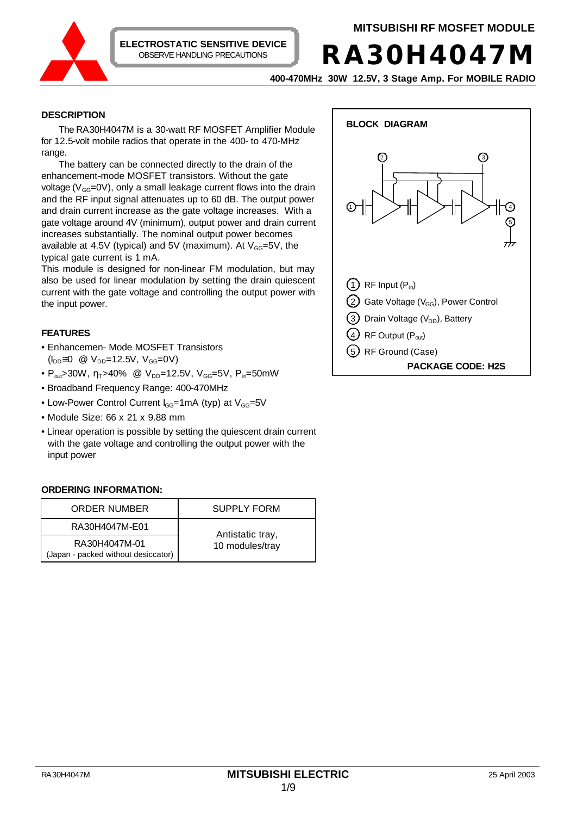

**RA30H4047M**

**400-470MHz 30W 12.5V, 3 Stage Amp. For MOBILE RADIO**

# **DESCRIPTION**

The RA30H4047M is a 30-watt RF MOSFET Amplifier Module for 12.5-volt mobile radios that operate in the 400- to 470-MHz range.

The battery can be connected directly to the drain of the enhancement-mode MOSFET transistors. Without the gate voltage ( $V_{GG}$ =0V), only a small leakage current flows into the drain and the RF input signal attenuates up to 60 dB. The output power and drain current increase as the gate voltage increases. With a gate voltage around 4V (minimum), output power and drain current increases substantially. The nominal output power becomes available at 4.5V (typical) and 5V (maximum). At  $V_{GG} = 5V$ , the typical gate current is 1 mA.

This module is designed for non-linear FM modulation, but may also be used for linear modulation by setting the drain quiescent current with the gate voltage and controlling the output power with the input power.

# **FEATURES**

- Enhancemen- Mode MOSFET Transistors  $(I_{DD} \cong 0 \text{ } \textcircled{2} \text{ } V_{DD} = 12.5 \text{V}, \text{ } V_{GG} = 0 \text{V}$
- $P_{\text{out}}$ >30W,  $\eta_{\text{T}}$ >40% @  $V_{\text{DD}}$ =12.5V,  $V_{\text{GG}}$ =5V,  $P_{\text{in}}$ =50mW
- Broadband Frequency Range: 400-470MHz
- Low-Power Control Current  $I_{GG}=1$ mA (typ) at  $V_{GG}=5V$
- Module Size: 66 x 21 x 9.88 mm
- Linear operation is possible by setting the quiescent drain current with the gate voltage and controlling the output power with the input power

# **ORDERING INFORMATION:**

| <b>ORDER NUMBER</b>                                  | <b>SUPPLY FORM</b> |  |
|------------------------------------------------------|--------------------|--|
| RA30H4047M-E01                                       | Antistatic tray,   |  |
| RA30H4047M-01<br>(Japan - packed without desiccator) | 10 modules/tray    |  |

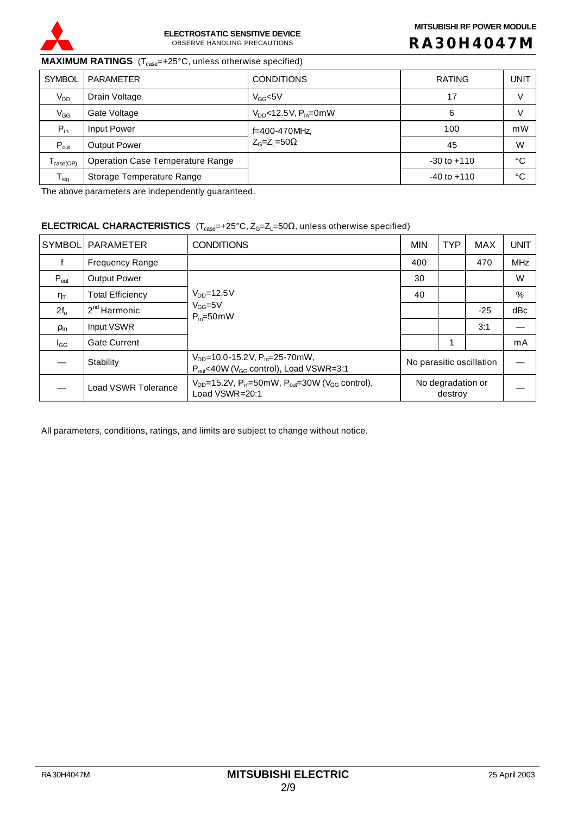

# **R A 30H4047 M**

**MAXIMUM RATINGS** (T<sub>case</sub>=+25°C, unless otherwise specified)

| <b>SYMBOL</b>                | PARAMETER                               | <b>CONDITIONS</b>                     | <b>RATING</b>   | <b>UNIT</b> |
|------------------------------|-----------------------------------------|---------------------------------------|-----------------|-------------|
| $V_{DD}$                     | Drain Voltage                           | $V_{GG}$ <5V                          | 17              | V           |
| $V_{GG}$                     | Gate Voltage                            | $V_{DD}$ <12.5V, P <sub>in</sub> =0mW | 6               | V           |
| $P_{in}$                     | Input Power                             | f=400-470MHz,                         | 100             | mW          |
| $P_{out}$                    | <b>Output Power</b>                     | $Z_G = Z_L = 50\Omega$                | 45              | W           |
| $I_{\text{case}(\text{OP})}$ | <b>Operation Case Temperature Range</b> |                                       | $-30$ to $+110$ | °C          |
| $T_{\text{stg}}$             | Storage Temperature Range               |                                       | $-40$ to $+110$ | °C          |

The above parameters are independently guaranteed.

# **ELECTRICAL CHARACTERISTICS** (T<sub>case</sub>=+25°C, Z<sub>G</sub>=Z<sub>L</sub>=50Ω, unless otherwise specified)

| <b>SYMBOL</b>                    | <b>PARAMETER</b>           | <b>CONDITIONS</b>                                                                                          | <b>MIN</b>                   | <b>TYP</b> | <b>MAX</b> | <b>UNIT</b> |
|----------------------------------|----------------------------|------------------------------------------------------------------------------------------------------------|------------------------------|------------|------------|-------------|
|                                  | <b>Frequency Range</b>     |                                                                                                            | 400                          |            | 470        | <b>MHz</b>  |
| $P_{\text{out}}$                 | <b>Output Power</b>        |                                                                                                            | 30                           |            |            | W           |
| $\eta_{\scriptscriptstyle\sf T}$ | <b>Total Efficiency</b>    | $V_{DD} = 12.5V$<br>$V_{GG} = 5V$<br>$P_{in} = 50$ mW                                                      | 40                           |            |            | %           |
| $2f_{o}$                         | $2nd$ Harmonic             |                                                                                                            |                              |            | $-25$      | dBc         |
| $\rho_{\text{in}}$               | Input VSWR                 |                                                                                                            |                              |            | 3:1        |             |
| $I_{GG}$                         | <b>Gate Current</b>        |                                                                                                            |                              |            |            | mA          |
|                                  | Stability                  | $V_{DD}$ =10.0-15.2V, P <sub>in</sub> =25-70mW,<br>$P_{out}$ <40W ( $V_{GG}$ control), Load VSWR=3:1       | No parasitic oscillation     |            |            |             |
|                                  | <b>Load VSWR Tolerance</b> | $V_{DD}$ =15.2V, P <sub>in</sub> =50mW, P <sub>out</sub> =30W (V <sub>GG</sub> control),<br>Load VSWR=20:1 | No degradation or<br>destroy |            |            |             |

All parameters, conditions, ratings, and limits are subject to change without notice.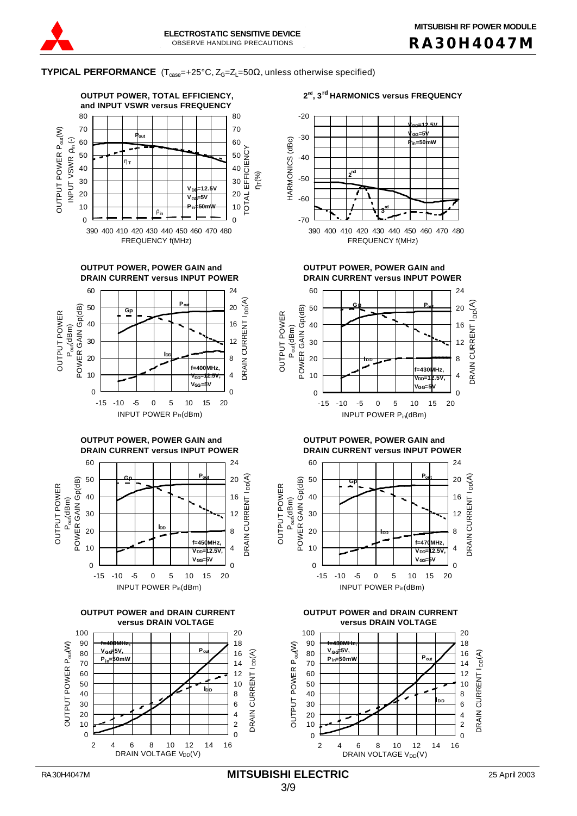

**TYPICAL PERFORMANCE**  $(T_{\text{case}}=+25^{\circ}C, Z_{G}=Z_{L}=50\Omega,$  unless otherwise specified)

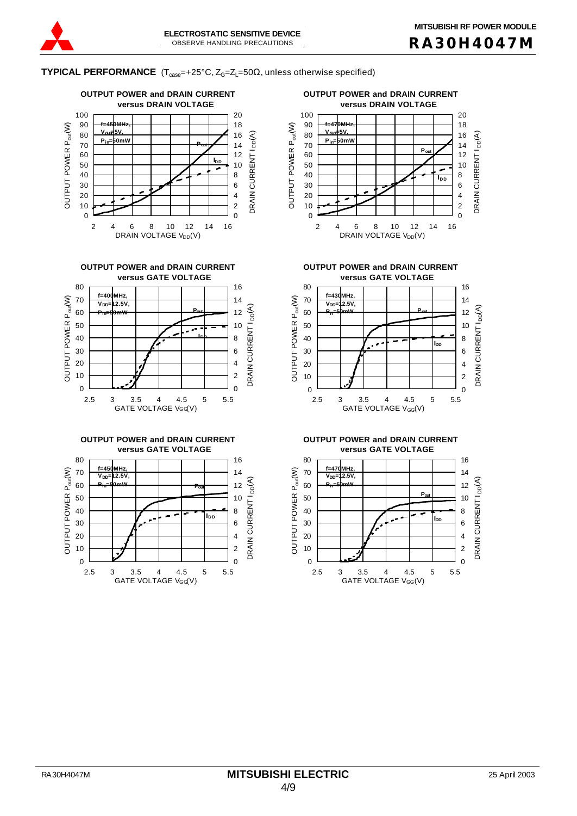DRAIN CURRENT I<sub>DD</sub>(A)

DRAIN CURRENT I

 $I_{DD}(A)$ 

**TYPICAL PERFORMANCE**  $(T_{\text{case}}=+25^{\circ}C, Z_{G}=Z_{L}=50\Omega,$  unless otherwise specified)









**OUTPUT POWER and DRAIN CURRENT OUTPUT POWER and DRAIN CURRENT**



**versus GATE VOLTAGE versus GATE VOLTAGE**



**versus GATE VOLTAGE versus GATE VOLTAGE**

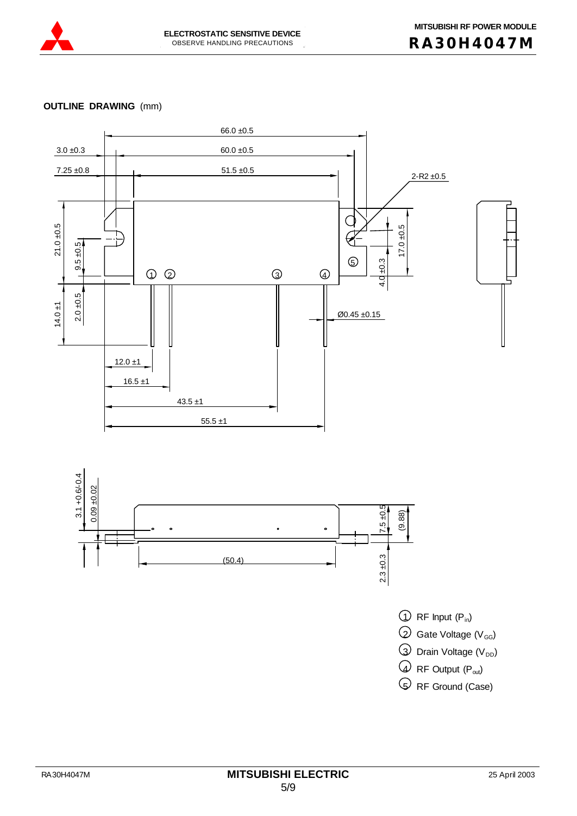

# **OUTLINE DRAWING** (mm)

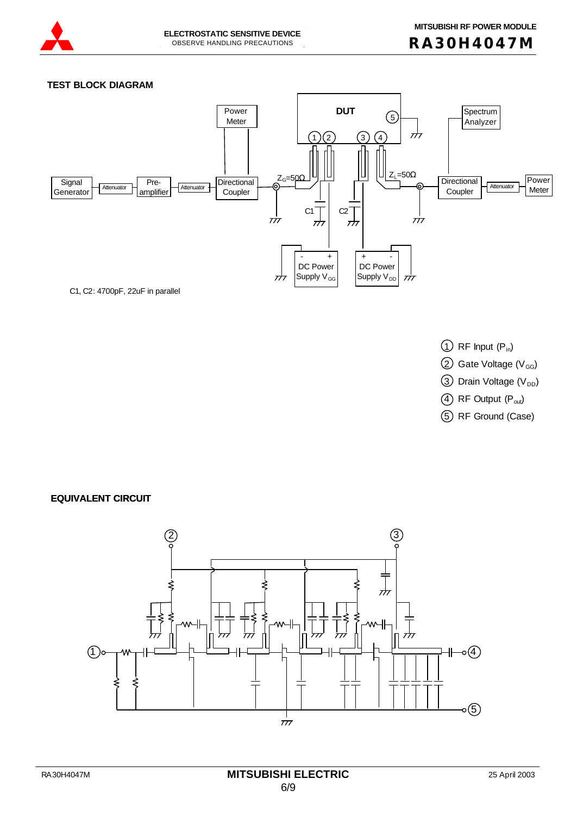

## **TEST BLOCK DIAGRAM**



- $\bigcirc$  RF Input  $(P_{in})$
- $\textcircled{2}$  Gate Voltage (V<sub>GG</sub>)
- $\textcircled{3}$  Drain Voltage (V<sub>DD</sub>)
- $(4)$  RF Output  $(P_{out})$
- 5 RF Ground (Case)

**EQUIVALENT CIRCUIT**

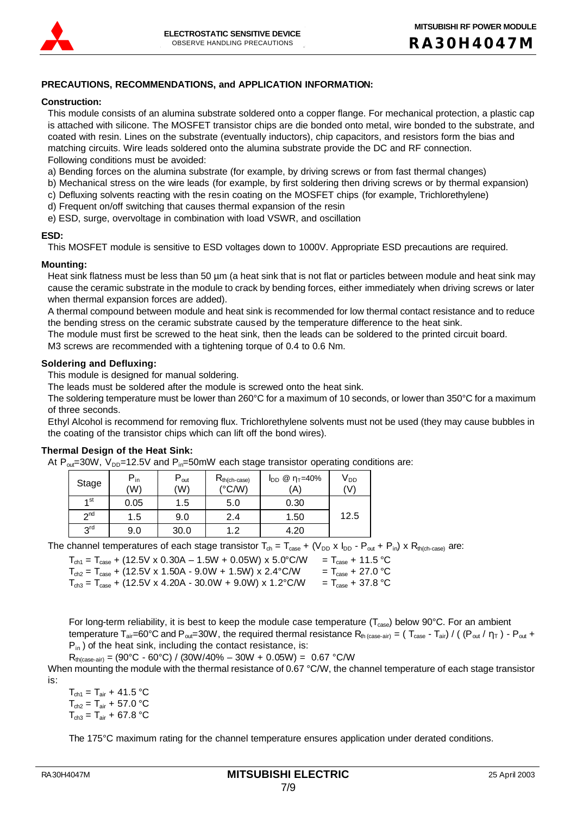

# **PRECAUTIONS, RECOMMENDATIONS, and APPLICATION INFORMATION:**

#### **Construction:**

This module consists of an alumina substrate soldered onto a copper flange. For mechanical protection, a plastic cap is attached with silicone. The MOSFET transistor chips are die bonded onto metal, wire bonded to the substrate, and coated with resin. Lines on the substrate (eventually inductors), chip capacitors, and resistors form the bias and matching circuits. Wire leads soldered onto the alumina substrate provide the DC and RF connection. Following conditions must be avoided:

a) Bending forces on the alumina substrate (for example, by driving screws or from fast thermal changes)

- b) Mechanical stress on the wire leads (for example, by first soldering then driving screws or by thermal expansion)
- c) Defluxing solvents reacting with the resin coating on the MOSFET chips (for example, Trichlorethylene)
- d) Frequent on/off switching that causes thermal expansion of the resin
- e) ESD, surge, overvoltage in combination with load VSWR, and oscillation

#### **ESD:**

This MOSFET module is sensitive to ESD voltages down to 1000V. Appropriate ESD precautions are required.

## **Mounting:**

Heat sink flatness must be less than 50 µm (a heat sink that is not flat or particles between module and heat sink may cause the ceramic substrate in the module to crack by bending forces, either immediately when driving screws or later when thermal expansion forces are added).

A thermal compound between module and heat sink is recommended for low thermal contact resistance and to reduce the bending stress on the ceramic substrate caused by the temperature difference to the heat sink.

The module must first be screwed to the heat sink, then the leads can be soldered to the printed circuit board.

M3 screws are recommended with a tightening torque of 0.4 to 0.6 Nm.

## **Soldering and Defluxing:**

This module is designed for manual soldering.

The leads must be soldered after the module is screwed onto the heat sink.

The soldering temperature must be lower than 260°C for a maximum of 10 seconds, or lower than 350°C for a maximum of three seconds.

Ethyl Alcohol is recommend for removing flux. Trichlorethylene solvents must not be used (they may cause bubbles in the coating of the transistor chips which can lift off the bond wires).

# **Thermal Design of the Heat Sink:**

At  $P_{\text{out}}=30W$ ,  $V_{\text{DD}}=12.5V$  and  $P_{\text{in}}=50mW$  each stage transistor operating conditions are:

| Stage           | $P_{in}$<br>(W) | $P_{\text{out}}$<br>'W) | $R_{th(ch-case)}$<br>$(^{\circ}C/W)$ | $I_{DD}$ @ $\eta_T = 40\%$<br>(A) | V <sub>DD</sub><br>(V) |
|-----------------|-----------------|-------------------------|--------------------------------------|-----------------------------------|------------------------|
| 1 <sub>st</sub> | 0.05            | 1.5                     | 5.0                                  | 0.30                              |                        |
| 2 <sub>nd</sub> | 1.5             | 9.0                     | 2.4                                  | 1.50                              | 12.5                   |
| 3 <sup>rd</sup> | 9.0             | 30.0                    | 1 つ                                  | 4.20                              |                        |

The channel temperatures of each stage transistor  $T_{ch} = T_{case} + (V_{DD} \times I_{DD} - P_{out} + P_{in}) \times R_{th(ch-case)}$  are:

| $T_{\text{ch1}} = T_{\text{case}} + (12.5 \text{V} \times 0.30 \text{A} - 1.5 \text{W} + 0.05 \text{W}) \times 5.0^{\circ}\text{C/W}$ | $T_{\text{case}} + 11.5 \text{ °C}$ |
|---------------------------------------------------------------------------------------------------------------------------------------|-------------------------------------|
| $T_{ch2} = T_{case} + (12.5V \times 1.50A - 9.0W + 1.5W) \times 2.4^{\circ}$ C/W                                                      | $T_{\text{case}} + 27.0 \degree C$  |
| $T_{\text{ch3}} = T_{\text{case}} + (12.5 \text{V} \times 4.20 \text{A} - 30.0 \text{W} + 9.0 \text{W}) \times 1.2^{\circ}\text{C/W}$ | $T_{\text{case}} + 37.8 \text{ °C}$ |

For long-term reliability, it is best to keep the module case temperature ( $T_{case}$ ) below 90°C. For an ambient temperature T<sub>air</sub>=60°C and P<sub>out</sub>=30W, the required thermal resistance R<sub>th (case-air)</sub> = (T<sub>case</sub> - T<sub>air</sub>) / ((P<sub>out</sub> /  $\eta_T$ ) - P<sub>out</sub> +  $P_{in}$ ) of the heat sink, including the contact resistance, is:

 $R_{th(case-air)} = (90^{\circ}C - 60^{\circ}C) / (30W/40\% - 30W + 0.05W) = 0.67 \degree C/W$ 

When mounting the module with the thermal resistance of 0.67 °C/W, the channel temperature of each stage transistor is:

 $T_{\text{ch1}} = T_{\text{air}} + 41.5 \text{ °C}$  $T_{ch2} = T_{air} + 57.0 °C$  $T_{ch3} = T_{air} + 67.8 °C$ 

The 175°C maximum rating for the channel temperature ensures application under derated conditions.